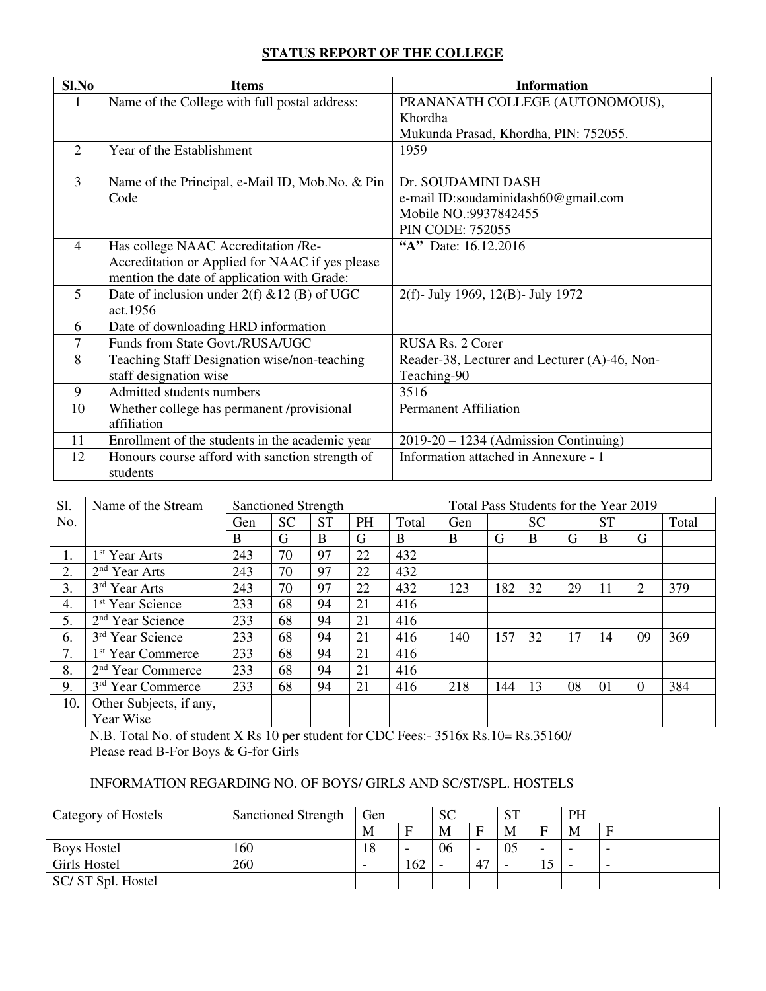### **STATUS REPORT OF THE COLLEGE**

| Sl.No          | <b>Items</b>                                    | <b>Information</b>                            |
|----------------|-------------------------------------------------|-----------------------------------------------|
|                | Name of the College with full postal address:   | PRANANATH COLLEGE (AUTONOMOUS),               |
|                |                                                 | Khordha                                       |
|                |                                                 | Mukunda Prasad, Khordha, PIN: 752055.         |
| $\overline{2}$ | Year of the Establishment                       | 1959                                          |
|                |                                                 |                                               |
| 3              | Name of the Principal, e-Mail ID, Mob.No. & Pin | Dr. SOUDAMINI DASH                            |
|                | Code                                            | e-mail ID:soudaminidash60@gmail.com           |
|                |                                                 | Mobile NO.:9937842455                         |
|                |                                                 | <b>PIN CODE: 752055</b>                       |
| $\overline{4}$ | Has college NAAC Accreditation /Re-             | "A" Date: 16.12.2016                          |
|                | Accreditation or Applied for NAAC if yes please |                                               |
|                | mention the date of application with Grade:     |                                               |
| $\mathfrak{H}$ | Date of inclusion under $2(f)$ & 12 (B) of UGC  | 2(f)- July 1969, 12(B)- July 1972             |
|                | act.1956                                        |                                               |
| 6              | Date of downloading HRD information             |                                               |
| 7              | Funds from State Govt./RUSA/UGC                 | RUSA Rs. 2 Corer                              |
| 8              | Teaching Staff Designation wise/non-teaching    | Reader-38, Lecturer and Lecturer (A)-46, Non- |
|                | staff designation wise                          | Teaching-90                                   |
| 9              | Admitted students numbers                       | 3516                                          |
| 10             | Whether college has permanent /provisional      | <b>Permanent Affiliation</b>                  |
|                | affiliation                                     |                                               |
| 11             | Enrollment of the students in the academic year | $2019-20 - 1234$ (Admission Continuing)       |
| 12             | Honours course afford with sanction strength of | Information attached in Annexure - 1          |
|                | students                                        |                                               |

| S1. | Name of the Stream            | <b>Sanctioned Strength</b> |           |           | Total Pass Students for the Year 2019 |       |     |     |           |    |           |                |       |
|-----|-------------------------------|----------------------------|-----------|-----------|---------------------------------------|-------|-----|-----|-----------|----|-----------|----------------|-------|
| No. |                               | Gen                        | <b>SC</b> | <b>ST</b> | PH                                    | Total | Gen |     | <b>SC</b> |    | <b>ST</b> |                | Total |
|     |                               | B                          | G         | B         | G                                     | B     | B   | G   | B         | G  | B         | G              |       |
| 1.  | 1 <sup>st</sup> Year Arts     | 243                        | 70        | 97        | 22                                    | 432   |     |     |           |    |           |                |       |
| 2.  | 2 <sup>nd</sup> Year Arts     | 243                        | 70        | 97        | 22                                    | 432   |     |     |           |    |           |                |       |
| 3.  | 3 <sup>rd</sup> Year Arts     | 243                        | 70        | 97        | 22                                    | 432   | 123 | 182 | 32        | 29 | 11        | $\overline{2}$ | 379   |
| 4.  | 1 <sup>st</sup> Year Science  | 233                        | 68        | 94        | 21                                    | 416   |     |     |           |    |           |                |       |
| 5.  | $2nd$ Year Science            | 233                        | 68        | 94        | 21                                    | 416   |     |     |           |    |           |                |       |
| 6.  | 3rd Year Science              | 233                        | 68        | 94        | 21                                    | 416   | 140 | 157 | 32        | 17 | 14        | 09             | 369   |
| 7.  | 1 <sup>st</sup> Year Commerce | 233                        | 68        | 94        | 21                                    | 416   |     |     |           |    |           |                |       |
| 8.  | 2 <sup>nd</sup> Year Commerce | 233                        | 68        | 94        | 21                                    | 416   |     |     |           |    |           |                |       |
| 9.  | 3 <sup>rd</sup> Year Commerce | 233                        | 68        | 94        | 21                                    | 416   | 218 | 144 | 13        | 08 | 01        | $\overline{0}$ | 384   |
| 10. | Other Subjects, if any,       |                            |           |           |                                       |       |     |     |           |    |           |                |       |
|     | Year Wise                     |                            |           |           |                                       |       |     |     |           |    |           |                |       |

N.B. Total No. of student X Rs 10 per student for CDC Fees:- 3516x Rs.10= Rs.35160/ Please read B-For Boys & G-for Girls

# INFORMATION REGARDING NO. OF BOYS/ GIRLS AND SC/ST/SPL. HOSTELS

| Category of Hostels | Sanctioned Strength | Gen |          | <b>SC</b> |              | C <sub>T</sub><br>$\mathbf{D}$ 1 |    | PH                       |                          |
|---------------------|---------------------|-----|----------|-----------|--------------|----------------------------------|----|--------------------------|--------------------------|
|                     |                     | М   | $\Gamma$ | M         | $\mathbf{F}$ | M                                | Е  | M                        | E                        |
| <b>Boys Hostel</b>  | 160                 | 18  | ٠        | 06        | -            | 05                               | -  | $\overline{\phantom{0}}$ | $\overline{\phantom{0}}$ |
| Girls Hostel        | 260                 | -   | 162      |           | 47           |                                  | IJ | $\overline{\phantom{0}}$ | $\overline{\phantom{0}}$ |
| SC/ST Spl. Hostel   |                     |     |          |           |              |                                  |    |                          |                          |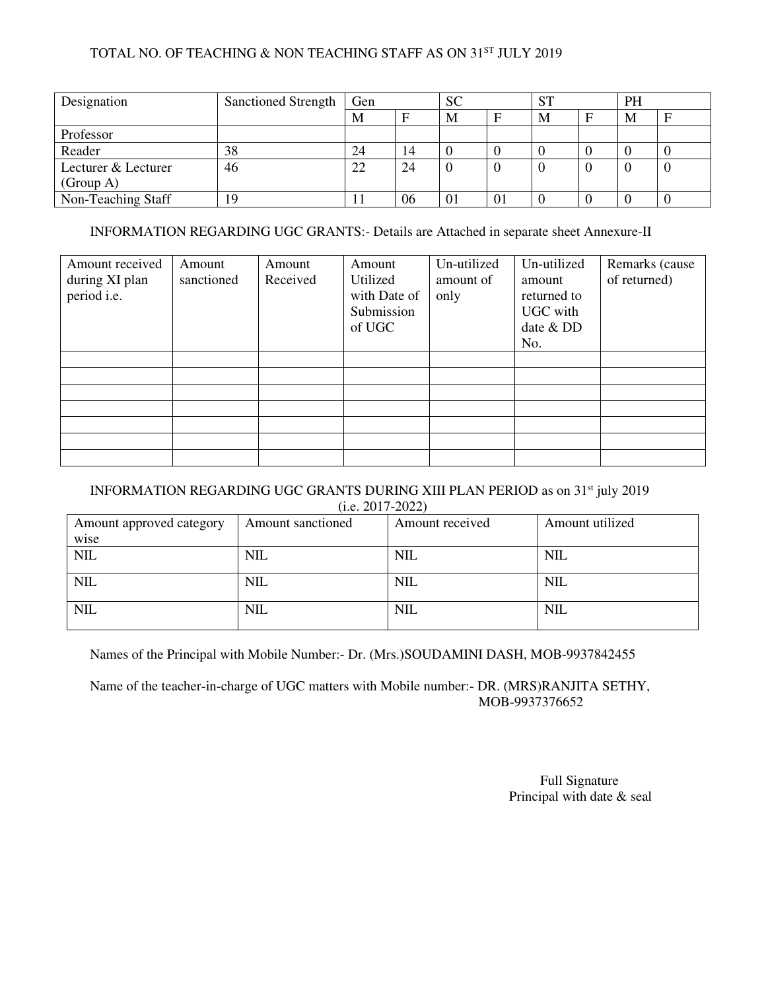# TOTAL NO. OF TEACHING & NON TEACHING STAFF AS ON 31ST JULY 2019

| Designation         | <b>Sanctioned Strength</b> | Gen |    | <b>SC</b> |         | <b>ST</b> |  | PH |   |
|---------------------|----------------------------|-----|----|-----------|---------|-----------|--|----|---|
|                     |                            | M   | п  | М         | F       | M         |  | M  | E |
| Professor           |                            |     |    |           |         |           |  |    |   |
| Reader              | 38                         | 24  | 14 |           |         |           |  |    |   |
| Lecturer & Lecturer | 46                         | 22  | 24 |           |         |           |  |    |   |
| (Group A)           |                            |     |    |           |         |           |  |    |   |
| Non-Teaching Staff  | 19                         | IJ  | 06 | 01        | $_{01}$ |           |  |    |   |

### INFORMATION REGARDING UGC GRANTS:- Details are Attached in separate sheet Annexure-II

| Amount received<br>during XI plan<br>period i.e. | Amount<br>sanctioned | Amount<br>Received | Amount<br>Utilized<br>with Date of<br>Submission<br>of UGC | Un-utilized<br>amount of<br>only | Un-utilized<br>amount<br>returned to<br>UGC with<br>date & DD<br>No. | Remarks (cause)<br>of returned) |
|--------------------------------------------------|----------------------|--------------------|------------------------------------------------------------|----------------------------------|----------------------------------------------------------------------|---------------------------------|
|                                                  |                      |                    |                                                            |                                  |                                                                      |                                 |
|                                                  |                      |                    |                                                            |                                  |                                                                      |                                 |
|                                                  |                      |                    |                                                            |                                  |                                                                      |                                 |
|                                                  |                      |                    |                                                            |                                  |                                                                      |                                 |
|                                                  |                      |                    |                                                            |                                  |                                                                      |                                 |
|                                                  |                      |                    |                                                            |                                  |                                                                      |                                 |
|                                                  |                      |                    |                                                            |                                  |                                                                      |                                 |

#### INFORMATION REGARDING UGC GRANTS DURING XIII PLAN PERIOD as on 31<sup>st</sup> july 2019  $(i. e. 2017 - 2022)$

| Amount approved category | Amount sanctioned | Amount received | Amount utilized |
|--------------------------|-------------------|-----------------|-----------------|
| wise                     |                   |                 |                 |
| <b>NIL</b>               | <b>NIL</b>        | NIL             | <b>NIL</b>      |
|                          |                   |                 |                 |
| <b>NIL</b>               | <b>NIL</b>        | <b>NIL</b>      | <b>NIL</b>      |
|                          |                   |                 |                 |
| <b>NIL</b>               | <b>NIL</b>        | <b>NIL</b>      | <b>NIL</b>      |
|                          |                   |                 |                 |

Names of the Principal with Mobile Number:- Dr. (Mrs.)SOUDAMINI DASH, MOB-9937842455

Name of the teacher-in-charge of UGC matters with Mobile number:- DR. (MRS)RANJITA SETHY, MOB-9937376652

> Full Signature Principal with date  $&$  seal